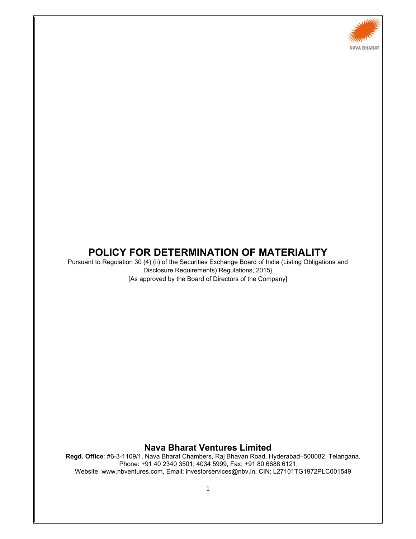

# **POLICY FOR DETERMINATION OF MATERIALITY**

Pursuant to Regulation 30 (4) (ii) of the Securities Exchange Board of India (Listing Obligations and Disclosure Requirements) Regulations, 2015} [As approved by the Board of Directors of the Company]

### **Nava Bharat Ventures Limited**

**Regd. Office**: #6-3-1109/1, Nava Bharat Chambers, Raj Bhavan Road, Hyderabad–500082, Telangana. Phone: +91 40 2340 3501; 4034 5999, Fax: +91 80 6688 6121; Website: www.nbventures.com, Email: investorservices@nbv.in; CIN: L27101TG1972PLC001549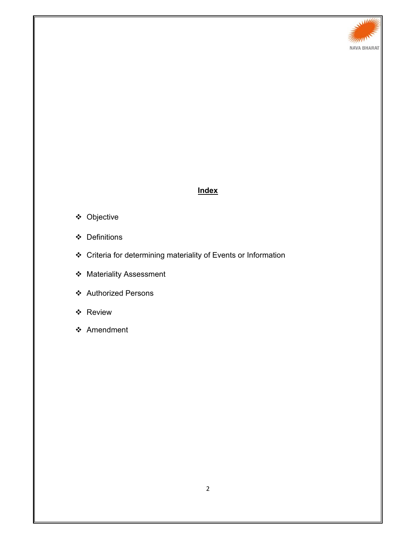

## **Index**

- Objective
- Definitions
- Criteria for determining materiality of Events or Information
- Materiality Assessment
- Authorized Persons
- Review
- ❖ Amendment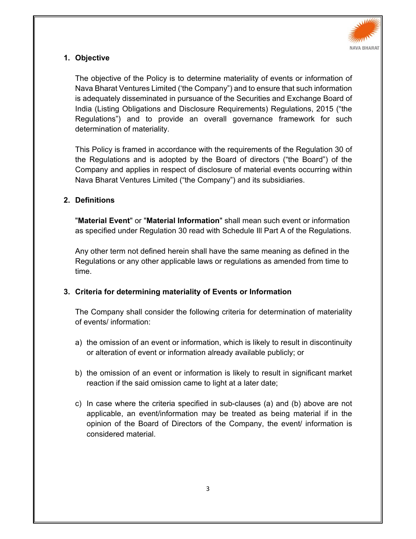

# **1. Objective**

The objective of the Policy is to determine materiality of events or information of Nava Bharat Ventures Limited ('the Company") and to ensure that such information is adequately disseminated in pursuance of the Securities and Exchange Board of India (Listing Obligations and Disclosure Requirements) Regulations, 2015 ("the Regulations") and to provide an overall governance framework for such determination of materiality.

This Policy is framed in accordance with the requirements of the Regulation 30 of the Regulations and is adopted by the Board of directors ("the Board") of the Company and applies in respect of disclosure of material events occurring within Nava Bharat Ventures Limited ("the Company") and its subsidiaries.

# **2. Definitions**

"**Material Event**" or "**Material Information**" shall mean such event or information as specified under Regulation 30 read with Schedule Ill Part A of the Regulations.

Any other term not defined herein shall have the same meaning as defined in the Regulations or any other applicable laws or regulations as amended from time to time.

## **3. Criteria for determining materiality of Events or Information**

The Company shall consider the following criteria for determination of materiality of events/ information:

- a) the omission of an event or information, which is likely to result in discontinuity or alteration of event or information already available publicly; or
- b) the omission of an event or information is likely to result in significant market reaction if the said omission came to light at a later date;
- c) In case where the criteria specified in sub-clauses (a) and (b) above are not applicable, an event/information may be treated as being material if in the opinion of the Board of Directors of the Company, the event/ information is considered material.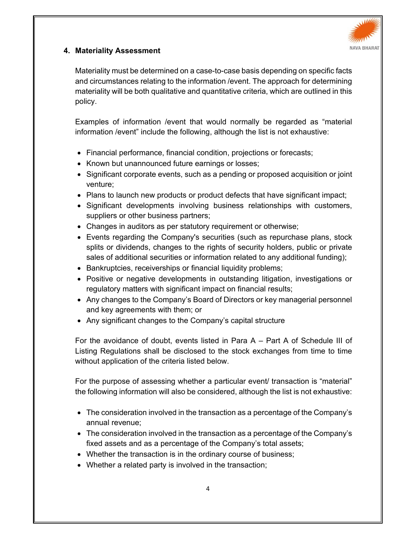

# **4. Materiality Assessment**

Materiality must be determined on a case-to-case basis depending on specific facts and circumstances relating to the information /event. The approach for determining materiality will be both qualitative and quantitative criteria, which are outlined in this policy.

Examples of information /event that would normally be regarded as "material information /event" include the following, although the list is not exhaustive:

- Financial performance, financial condition, projections or forecasts;
- Known but unannounced future earnings or losses;
- Significant corporate events, such as a pending or proposed acquisition or joint venture;
- Plans to launch new products or product defects that have significant impact;
- Significant developments involving business relationships with customers, suppliers or other business partners;
- Changes in auditors as per statutory requirement or otherwise;
- Events regarding the Company's securities (such as repurchase plans, stock splits or dividends, changes to the rights of security holders, public or private sales of additional securities or information related to any additional funding);
- Bankruptcies, receiverships or financial liquidity problems;
- Positive or negative developments in outstanding litigation, investigations or regulatory matters with significant impact on financial results;
- Any changes to the Company's Board of Directors or key managerial personnel and key agreements with them; or
- Any significant changes to the Company's capital structure

For the avoidance of doubt, events listed in Para A – Part A of Schedule III of Listing Regulations shall be disclosed to the stock exchanges from time to time without application of the criteria listed below.

For the purpose of assessing whether a particular event/ transaction is "material" the following information will also be considered, although the list is not exhaustive:

- The consideration involved in the transaction as a percentage of the Company's annual revenue;
- The consideration involved in the transaction as a percentage of the Company's fixed assets and as a percentage of the Company's total assets;
- Whether the transaction is in the ordinary course of business;
- Whether a related party is involved in the transaction;